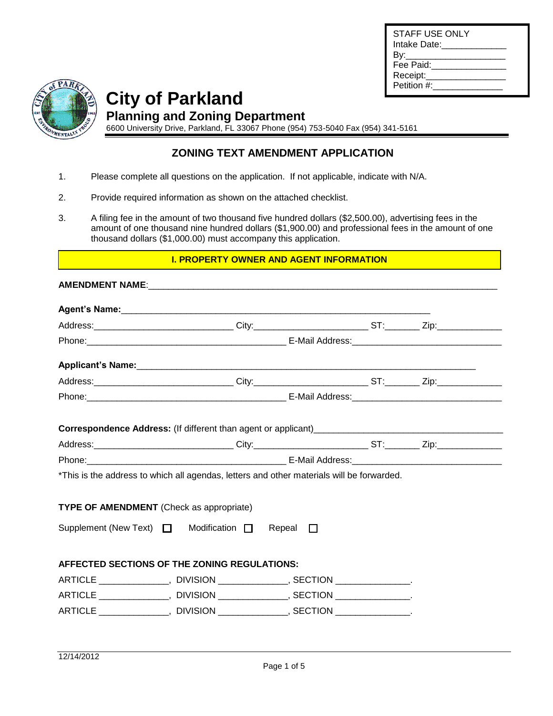

**City of Parkland Planning and Zoning Department**

6600 University Drive, Parkland, FL 33067 Phone (954) 753-5040 Fax (954) 341-5161

## **ZONING TEXT AMENDMENT APPLICATION**

- 1. Please complete all questions on the application. If not applicable, indicate with N/A.
- 2. Provide required information as shown on the attached checklist.
- 3. A filing fee in the amount of two thousand five hundred dollars (\$2,500.00), advertising fees in the amount of one thousand nine hundred dollars (\$1,900.00) and professional fees in the amount of one thousand dollars (\$1,000.00) must accompany this application.

#### **I. PROPERTY OWNER AND AGENT INFORMATION**

|                                                                             | *This is the address to which all agendas, letters and other materials will be forwarded. |  |  |  |  |
|-----------------------------------------------------------------------------|-------------------------------------------------------------------------------------------|--|--|--|--|
|                                                                             | <b>TYPE OF AMENDMENT</b> (Check as appropriate)                                           |  |  |  |  |
|                                                                             | Supplement (New Text) $\Box$ Modification $\Box$ Repeal $\Box$                            |  |  |  |  |
|                                                                             | AFFECTED SECTIONS OF THE ZONING REGULATIONS:                                              |  |  |  |  |
|                                                                             | ARTICLE _______________, DIVISION _____________, SECTION ______________.                  |  |  |  |  |
|                                                                             | ARTICLE _______________, DIVISION _____________, SECTION ______________.                  |  |  |  |  |
| ARTICLE _______________, DIVISION ______________, SECTION ________________. |                                                                                           |  |  |  |  |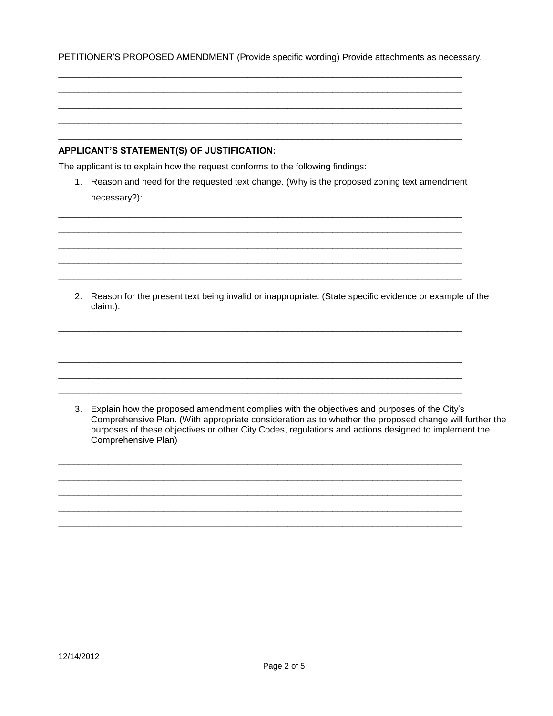PETITIONER'S PROPOSED AMENDMENT (Provide specific wording) Provide attachments as necessary.

#### APPLICANT'S STATEMENT(S) OF JUSTIFICATION:

The applicant is to explain how the request conforms to the following findings:

1. Reason and need for the requested text change. (Why is the proposed zoning text amendment necessary?):

2. Reason for the present text being invalid or inappropriate. (State specific evidence or example of the claim.):

3. Explain how the proposed amendment complies with the objectives and purposes of the City's Comprehensive Plan. (With appropriate consideration as to whether the proposed change will further the purposes of these objectives or other City Codes, regulations and actions designed to implement the Comprehensive Plan)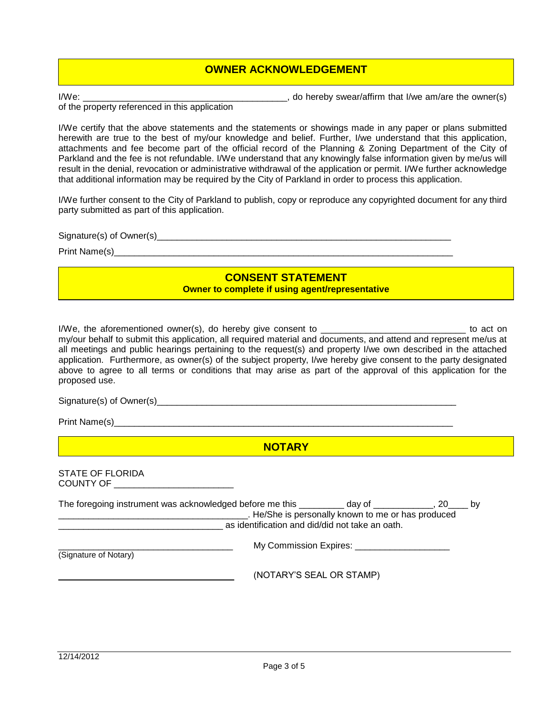#### **OWNER ACKNOWLEDGEMENT**

I/We:  $\blacksquare$  are  $\blacksquare$ , do hereby swear/affirm that I/we am/are the owner(s)

of the property referenced in this application

I/We certify that the above statements and the statements or showings made in any paper or plans submitted herewith are true to the best of my/our knowledge and belief. Further, I/we understand that this application, attachments and fee become part of the official record of the Planning & Zoning Department of the City of Parkland and the fee is not refundable. I/We understand that any knowingly false information given by me/us will result in the denial, revocation or administrative withdrawal of the application or permit. I/We further acknowledge that additional information may be required by the City of Parkland in order to process this application.

I/We further consent to the City of Parkland to publish, copy or reproduce any copyrighted document for any third party submitted as part of this application.

Signature(s) of Owner(s)\_\_\_\_\_\_\_\_\_\_\_\_\_\_\_\_\_\_\_\_\_\_\_\_\_\_\_\_\_\_\_\_\_\_\_\_\_\_\_\_\_\_\_\_\_\_\_\_\_\_\_\_\_\_\_\_\_\_\_

Print Name(s)\_\_\_\_\_\_\_\_\_\_\_\_\_\_\_\_\_\_\_\_\_\_\_\_\_\_\_\_\_\_\_\_\_\_\_\_\_\_\_\_\_\_\_\_\_\_\_\_\_\_\_\_\_\_\_\_\_\_\_\_\_\_\_\_\_\_\_\_

### **CONSENT STATEMENT**

**Owner to complete if using agent/representative**

I/We, the aforementioned owner(s), do hereby give consent to \_\_\_\_\_\_\_\_\_\_\_\_\_\_\_\_\_\_\_\_\_\_\_\_\_\_\_\_\_ to act on my/our behalf to submit this application, all required material and documents, and attend and represent me/us at all meetings and public hearings pertaining to the request(s) and property I/we own described in the attached application. Furthermore, as owner(s) of the subject property, I/we hereby give consent to the party designated above to agree to all terms or conditions that may arise as part of the approval of this application for the proposed use.

 $Signature(s)$  of Owner(s)  $\overline{\phantom{equation} }$ 

Print Name(s)\_

**NOTARY**

| <b>STATE OF FLORIDA</b> |  |
|-------------------------|--|
| <b>COUNTY OF</b>        |  |
|                         |  |

| The foregoing instrument was acknowledged before me this day of |                                                 |                                                    | .20 | <b>by</b> |
|-----------------------------------------------------------------|-------------------------------------------------|----------------------------------------------------|-----|-----------|
|                                                                 |                                                 | . He/She is personally known to me or has produced |     |           |
|                                                                 | as identification and did/did not take an oath. |                                                    |     |           |
| (Signature of Notary)                                           |                                                 | My Commission Expires:                             |     |           |
|                                                                 | (NOTARY'S SEAL OR STAMP)                        |                                                    |     |           |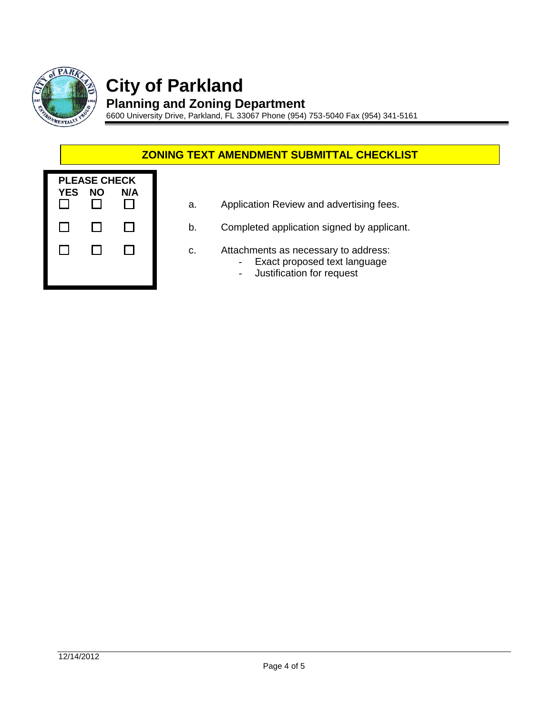

# **City of Parkland**

**Planning and Zoning Department** 6600 University Drive, Parkland, FL 33067 Phone (954) 753-5040 Fax (954) 341-5161

### **ZONING TEXT AMENDMENT SUBMITTAL CHECKLIST**

| <b>YES</b> | <b>PLEASE CHECK</b><br>ΝO | N/A |  |
|------------|---------------------------|-----|--|
| L          | - 1                       |     |  |
|            |                           |     |  |
|            |                           |     |  |

- a. Application Review and advertising fees.
- b. Completed application signed by applicant.
- c. Attachments as necessary to address:
	- Exact proposed text language
	- Justification for request